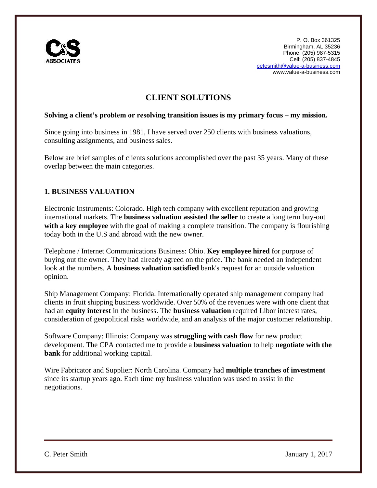

# **CLIENT SOLUTIONS**

#### **Solving a client's problem or resolving transition issues is my primary focus – my mission.**

Since going into business in 1981, I have served over 250 clients with business valuations, consulting assignments, and business sales.

Below are brief samples of clients solutions accomplished over the past 35 years. Many of these overlap between the main categories.

# **1. BUSINESS VALUATION**

Electronic Instruments: Colorado. High tech company with excellent reputation and growing international markets. The **business valuation assisted the seller** to create a long term buy-out with a key employee with the goal of making a complete transition. The company is flourishing today both in the U.S and abroad with the new owner.

Telephone / Internet Communications Business: Ohio. **Key employee hired** for purpose of buying out the owner. They had already agreed on the price. The bank needed an independent look at the numbers. A **business valuation satisfied** bank's request for an outside valuation opinion.

Ship Management Company: Florida. Internationally operated ship management company had clients in fruit shipping business worldwide. Over 50% of the revenues were with one client that had an **equity interest** in the business. The **business valuation** required Libor interest rates, consideration of geopolitical risks worldwide, and an analysis of the major customer relationship.

Software Company: Illinois: Company was **struggling with cash flow** for new product development. The CPA contacted me to provide a **business valuation** to help **negotiate with the bank** for additional working capital.

Wire Fabricator and Supplier: North Carolina. Company had **multiple tranches of investment** since its startup years ago. Each time my business valuation was used to assist in the negotiations.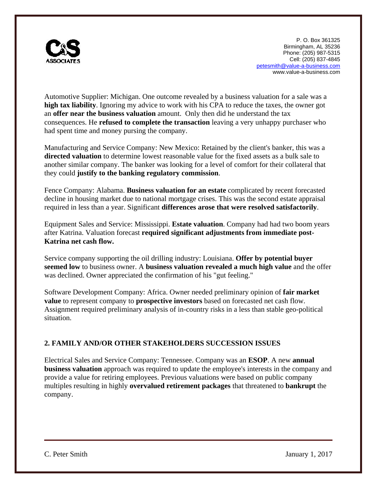

Automotive Supplier: Michigan. One outcome revealed by a business valuation for a sale was a **high tax liability**. Ignoring my advice to work with his CPA to reduce the taxes, the owner got an **offer near the business valuation** amount. Only then did he understand the tax consequences. He **refused to complete the transaction** leaving a very unhappy purchaser who had spent time and money pursing the company.

Manufacturing and Service Company: New Mexico: Retained by the client's banker, this was a **directed valuation** to determine lowest reasonable value for the fixed assets as a bulk sale to another similar company. The banker was looking for a level of comfort for their collateral that they could **justify to the banking regulatory commission**.

Fence Company: Alabama. **Business valuation for an estate** complicated by recent forecasted decline in housing market due to national mortgage crises. This was the second estate appraisal required in less than a year. Significant **differences arose that were resolved satisfactorily**.

Equipment Sales and Service: Mississippi. **Estate valuation**. Company had had two boom years after Katrina. Valuation forecast **required significant adjustments from immediate post-Katrina net cash flow.**

Service company supporting the oil drilling industry: Louisiana. **Offer by potential buyer seemed low** to business owner. A **business valuation revealed a much high value** and the offer was declined. Owner appreciated the confirmation of his "gut feeling."

Software Development Company: Africa. Owner needed preliminary opinion of **fair market value** to represent company to **prospective investors** based on forecasted net cash flow. Assignment required preliminary analysis of in-country risks in a less than stable geo-political situation.

# **2. FAMILY AND/OR OTHER STAKEHOLDERS SUCCESSION ISSUES**

Electrical Sales and Service Company: Tennessee. Company was an **ESOP**. A new **annual business valuation** approach was required to update the employee's interests in the company and provide a value for retiring employees. Previous valuations were based on public company multiples resulting in highly **overvalued retirement packages** that threatened to **bankrupt** the company.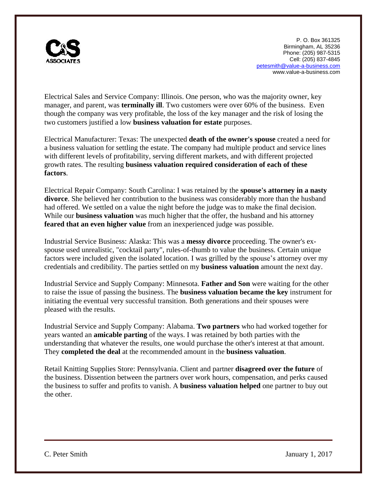

Electrical Sales and Service Company: Illinois. One person, who was the majority owner, key manager, and parent, was **terminally ill**. Two customers were over 60% of the business. Even though the company was very profitable, the loss of the key manager and the risk of losing the two customers justified a low **business valuation for estate** purposes.

Electrical Manufacturer: Texas: The unexpected **death of the owner's spouse** created a need for a business valuation for settling the estate. The company had multiple product and service lines with different levels of profitability, serving different markets, and with different projected growth rates. The resulting **business valuation required consideration of each of these factors**.

Electrical Repair Company: South Carolina: I was retained by the **spouse's attorney in a nasty divorce**. She believed her contribution to the business was considerably more than the husband had offered. We settled on a value the night before the judge was to make the final decision. While our **business valuation** was much higher that the offer, the husband and his attorney **feared that an even higher value** from an inexperienced judge was possible.

Industrial Service Business: Alaska: This was a **messy divorce** proceeding. The owner's exspouse used unrealistic, "cocktail party", rules-of-thumb to value the business. Certain unique factors were included given the isolated location. I was grilled by the spouse's attorney over my credentials and credibility. The parties settled on my **business valuation** amount the next day.

Industrial Service and Supply Company: Minnesota. **Father and Son** were waiting for the other to raise the issue of passing the business. The **business valuation became the key** instrument for initiating the eventual very successful transition. Both generations and their spouses were pleased with the results.

Industrial Service and Supply Company: Alabama. **Two partners** who had worked together for years wanted an **amicable parting** of the ways. I was retained by both parties with the understanding that whatever the results, one would purchase the other's interest at that amount. They **completed the deal** at the recommended amount in the **business valuation**.

Retail Knitting Supplies Store: Pennsylvania. Client and partner **disagreed over the future** of the business. Dissention between the partners over work hours, compensation, and perks caused the business to suffer and profits to vanish. A **business valuation helped** one partner to buy out the other.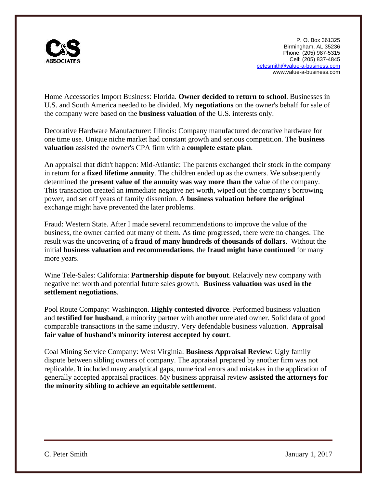

Home Accessories Import Business: Florida. **Owner decided to return to school**. Businesses in U.S. and South America needed to be divided. My **negotiations** on the owner's behalf for sale of the company were based on the **business valuation** of the U.S. interests only.

Decorative Hardware Manufacturer: Illinois: Company manufactured decorative hardware for one time use. Unique niche market had constant growth and serious competition. The **business valuation** assisted the owner's CPA firm with a **complete estate plan**.

An appraisal that didn't happen: Mid-Atlantic: The parents exchanged their stock in the company in return for a **fixed lifetime annuity**. The children ended up as the owners. We subsequently determined the **present value of the annuity was way more than the** value of the company. This transaction created an immediate negative net worth, wiped out the company's borrowing power, and set off years of family dissention. A **business valuation before the original** exchange might have prevented the later problems.

Fraud: Western State. After I made several recommendations to improve the value of the business, the owner carried out many of them. As time progressed, there were no changes. The result was the uncovering of a **fraud of many hundreds of thousands of dollars**. Without the initial **business valuation and recommendations**, the **fraud might have continued** for many more years.

Wine Tele-Sales: California: **Partnership dispute for buyout**. Relatively new company with negative net worth and potential future sales growth. **Business valuation was used in the settlement negotiations**.

Pool Route Company: Washington. **Highly contested divorce**. Performed business valuation and **testified for husband**, a minority partner with another unrelated owner. Solid data of good comparable transactions in the same industry. Very defendable business valuation. **Appraisal fair value of husband's minority interest accepted by court**.

Coal Mining Service Company: West Virginia: **Business Appraisal Review**: Ugly family dispute between sibling owners of company. The appraisal prepared by another firm was not replicable. It included many analytical gaps, numerical errors and mistakes in the application of generally accepted appraisal practices. My business appraisal review **assisted the attorneys for the minority sibling to achieve an equitable settlement**.